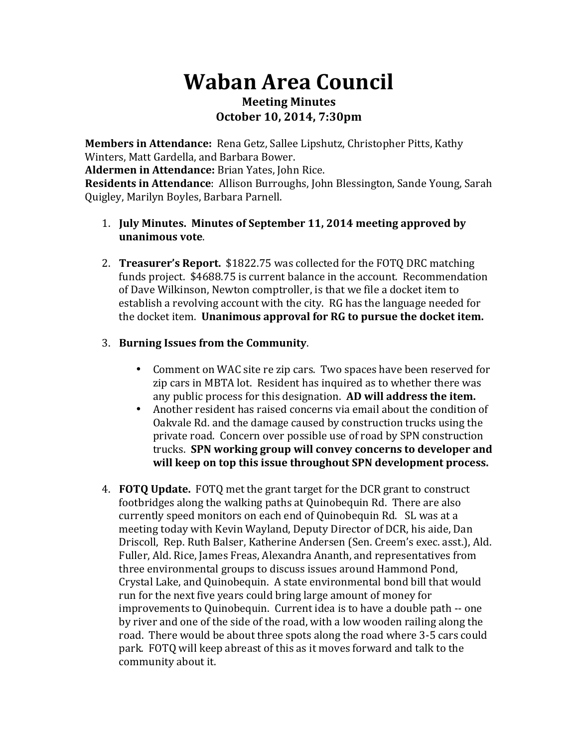# **Waban Area Council Meeting Minutes**

**October 10, 2014, 7:30pm**

**Members in Attendance:** Rena Getz, Sallee Lipshutz, Christopher Pitts, Kathy Winters, Matt Gardella, and Barbara Bower.

**Aldermen in Attendance:** Brian Yates, John Rice.

**Residents in Attendance**: Allison Burroughs, John Blessington, Sande Young, Sarah Quigley, Marilyn Boyles, Barbara Parnell.

### 1. **July Minutes. Minutes of September 11, 2014 meeting approved by unanimous vote**.

2. **Treasurer's Report.** \$1822.75 was collected for the FOTQ DRC matching funds project. \$4688.75 is current balance in the account. Recommendation of Dave Wilkinson, Newton comptroller, is that we file a docket item to establish a revolving account with the city. RG has the language needed for the docket item. **Unanimous approval for RG to pursue the docket item.** 

## 3. **Burning Issues from the Community.**

- Comment on WAC site re zip cars. Two spaces have been reserved for zip cars in MBTA lot. Resident has inquired as to whether there was any public process for this designation. **AD will address the item.**
- Another resident has raised concerns via email about the condition of Oakvale Rd. and the damage caused by construction trucks using the private road. Concern over possible use of road by SPN construction trucks. SPN working group will convey concerns to developer and will keep on top this issue throughout SPN development process.
- 4. **FOTQ Update.** FOTQ met the grant target for the DCR grant to construct footbridges along the walking paths at Quinobequin Rd. There are also currently speed monitors on each end of Quinobequin Rd. SL was at a meeting today with Kevin Wayland, Deputy Director of DCR, his aide, Dan Driscoll, Rep. Ruth Balser, Katherine Andersen (Sen. Creem's exec. asst.), Ald. Fuller, Ald. Rice, James Freas, Alexandra Ananth, and representatives from three environmental groups to discuss issues around Hammond Pond, Crystal Lake, and Quinobequin. A state environmental bond bill that would run for the next five years could bring large amount of money for improvements to Quinobequin. Current idea is to have a double path -- one by river and one of the side of the road, with a low wooden railing along the road. There would be about three spots along the road where 3-5 cars could park. FOTQ will keep abreast of this as it moves forward and talk to the community about it.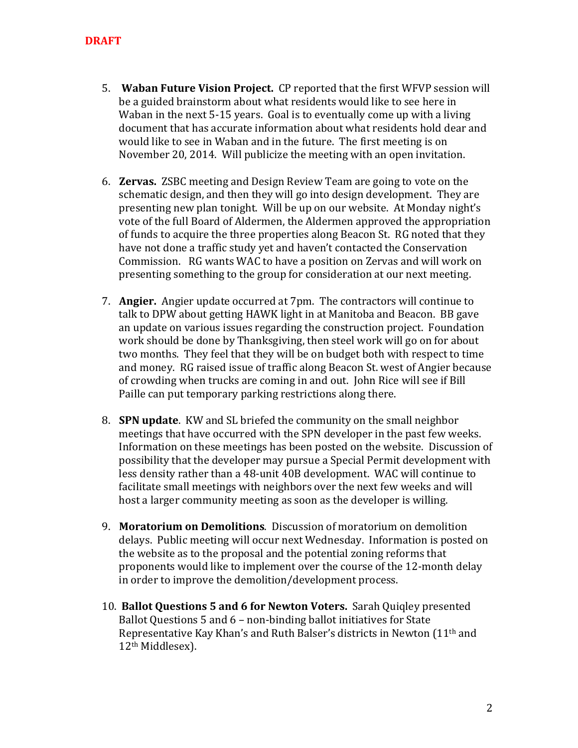- 5. **Waban Future Vision Project.** CP reported that the first WFVP session will be a guided brainstorm about what residents would like to see here in Waban in the next  $5-15$  years. Goal is to eventually come up with a living document that has accurate information about what residents hold dear and would like to see in Waban and in the future. The first meeting is on November 20, 2014. Will publicize the meeting with an open invitation.
- 6. **Zervas.** ZSBC meeting and Design Review Team are going to vote on the schematic design, and then they will go into design development. They are presenting new plan tonight. Will be up on our website. At Monday night's vote of the full Board of Aldermen, the Aldermen approved the appropriation of funds to acquire the three properties along Beacon St. RG noted that they have not done a traffic study yet and haven't contacted the Conservation Commission. RG wants WAC to have a position on Zervas and will work on presenting something to the group for consideration at our next meeting.
- 7. **Angier.** Angier update occurred at 7pm. The contractors will continue to talk to DPW about getting HAWK light in at Manitoba and Beacon. BB gave an update on various issues regarding the construction project. Foundation work should be done by Thanksgiving, then steel work will go on for about two months. They feel that they will be on budget both with respect to time and money. RG raised issue of traffic along Beacon St. west of Angier because of crowding when trucks are coming in and out. John Rice will see if Bill Paille can put temporary parking restrictions along there.
- 8. **SPN update**. KW and SL briefed the community on the small neighbor meetings that have occurred with the SPN developer in the past few weeks. Information on these meetings has been posted on the website. Discussion of possibility that the developer may pursue a Special Permit development with less density rather than a 48-unit 40B development. WAC will continue to facilitate small meetings with neighbors over the next few weeks and will host a larger community meeting as soon as the developer is willing.
- 9. **Moratorium on Demolitions.** Discussion of moratorium on demolition delays. Public meeting will occur next Wednesday. Information is posted on the website as to the proposal and the potential zoning reforms that proponents would like to implement over the course of the 12-month delay in order to improve the demolition/development process.
- 10. **Ballot Questions 5 and 6 for Newton Voters.** Sarah Quigley presented Ballot Questions  $5$  and  $6$  – non-binding ballot initiatives for State Representative Kay Khan's and Ruth Balser's districts in Newton  $(11<sup>th</sup>$  and 12<sup>th</sup> Middlesex).